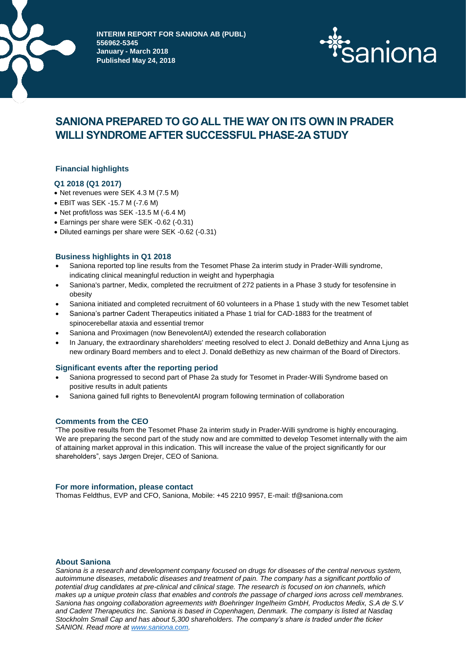

**INTERIM REPORT FOR SANIONA AB (PUBL) 556962-5345 January - March 2018 Published May 24, 2018**



# **SANIONA PREPARED TO GO ALL THE WAY ON ITS OWN IN PRADER WILLI SYNDROME AFTER SUCCESSFUL PHASE-2A STUDY**

# **Financial highlights**

## **Q1 2018 (Q1 2017)**

- Net revenues were SEK 4.3 M (7.5 M)
- EBIT was SEK -15.7 M (-7.6 M)
- Net profit/loss was SEK -13.5 M (-6.4 M)
- Earnings per share were SEK -0.62 (-0.31)
- Diluted earnings per share were SEK -0.62 (-0.31)

## **Business highlights in Q1 2018**

- Saniona reported top line results from the Tesomet Phase 2a interim study in Prader-Willi syndrome, indicating clinical meaningful reduction in weight and hyperphagia
- Saniona's partner, Medix, completed the recruitment of 272 patients in a Phase 3 study for tesofensine in obesity
- Saniona initiated and completed recruitment of 60 volunteers in a Phase 1 study with the new Tesomet tablet
- Saniona's partner Cadent Therapeutics initiated a Phase 1 trial for CAD-1883 for the treatment of spinocerebellar ataxia and essential tremor
- Saniona and Proximagen (now BenevolentAI) extended the research collaboration
- In January, the extraordinary shareholders' meeting resolved to elect J. Donald deBethizy and Anna Ljung as new ordinary Board members and to elect J. Donald deBethizy as new chairman of the Board of Directors.

#### **Significant events after the reporting period**

- Saniona progressed to second part of Phase 2a study for Tesomet in Prader-Willi Syndrome based on positive results in adult patients
- Saniona gained full rights to BenevolentAI program following termination of collaboration

#### **Comments from the CEO**

"The positive results from the Tesomet Phase 2a interim study in Prader-Willi syndrome is highly encouraging. We are preparing the second part of the study now and are committed to develop Tesomet internally with the aim of attaining market approval in this indication. This will increase the value of the project significantly for our shareholders", says Jørgen Drejer, CEO of Saniona.

#### **For more information, please contact**

Thomas Feldthus, EVP and CFO, Saniona, Mobile: +45 2210 9957, E-mail: tf@saniona.com

## **About Saniona**

*Saniona is a research and development company focused on drugs for diseases of the central nervous system, autoimmune diseases, metabolic diseases and treatment of pain. The company has a significant portfolio of potential drug candidates at pre-clinical and clinical stage. The research is focused on ion channels, which makes up a unique protein class that enables and controls the passage of charged ions across cell membranes. Saniona has ongoing collaboration agreements with Boehringer Ingelheim GmbH, Productos Medix, S.A de S.V and Cadent Therapeutics Inc. Saniona is based in Copenhagen, Denmark. The company is listed at Nasdaq Stockholm Small Cap and has about 5,300 shareholders. The company's share is traded under the ticker SANION. Read more a[t www.saniona.com.](http://www.saniona.com/)*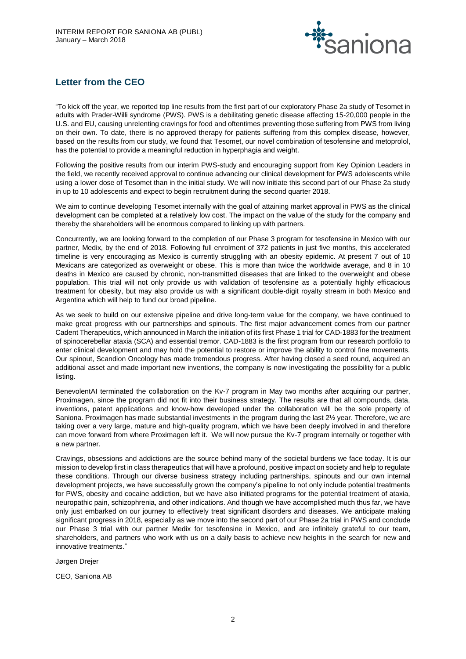

# **Letter from the CEO**

"To kick off the year, we reported top line results from the first part of our exploratory Phase 2a study of Tesomet in adults with Prader-Willi syndrome (PWS). PWS is a debilitating genetic disease affecting 15-20,000 people in the U.S. and EU, causing unrelenting cravings for food and oftentimes preventing those suffering from PWS from living on their own. To date, there is no approved therapy for patients suffering from this complex disease, however, based on the results from our study, we found that Tesomet, our novel combination of tesofensine and metoprolol, has the potential to provide a meaningful reduction in hyperphagia and weight.

Following the positive results from our interim PWS-study and encouraging support from Key Opinion Leaders in the field, we recently received approval to continue advancing our clinical development for PWS adolescents while using a lower dose of Tesomet than in the initial study. We will now initiate this second part of our Phase 2a study in up to 10 adolescents and expect to begin recruitment during the second quarter 2018.

We aim to continue developing Tesomet internally with the goal of attaining market approval in PWS as the clinical development can be completed at a relatively low cost. The impact on the value of the study for the company and thereby the shareholders will be enormous compared to linking up with partners.

Concurrently, we are looking forward to the completion of our Phase 3 program for tesofensine in Mexico with our partner, Medix, by the end of 2018. Following full enrolment of 372 patients in just five months, this accelerated timeline is very encouraging as Mexico is currently struggling with an obesity epidemic. At present 7 out of 10 Mexicans are categorized as overweight or obese. This is more than twice the worldwide average, and 8 in 10 deaths in Mexico are caused by chronic, non-transmitted diseases that are linked to the overweight and obese population. This trial will not only provide us with validation of tesofensine as a potentially highly efficacious treatment for obesity, but may also provide us with a significant double-digit royalty stream in both Mexico and Argentina which will help to fund our broad pipeline.

As we seek to build on our extensive pipeline and drive long-term value for the company, we have continued to make great progress with our partnerships and spinouts. The first major advancement comes from our partner Cadent Therapeutics, which announced in March the initiation of its first Phase 1 trial for CAD-1883 for the treatment of spinocerebellar ataxia (SCA) and essential tremor. CAD-1883 is the first program from our research portfolio to enter clinical development and may hold the potential to restore or improve the ability to control fine movements. Our spinout, Scandion Oncology has made tremendous progress. After having closed a seed round, acquired an additional asset and made important new inventions, the company is now investigating the possibility for a public listing.

BenevolentAI terminated the collaboration on the Kv-7 program in May two months after acquiring our partner, Proximagen, since the program did not fit into their business strategy. The results are that all compounds, data, inventions, patent applications and know-how developed under the collaboration will be the sole property of Saniona. Proximagen has made substantial investments in the program during the last 2½ year. Therefore, we are taking over a very large, mature and high-quality program, which we have been deeply involved in and therefore can move forward from where Proximagen left it. We will now pursue the Kv-7 program internally or together with a new partner.

Cravings, obsessions and addictions are the source behind many of the societal burdens we face today. It is our mission to develop first in class therapeutics that will have a profound, positive impact on society and help to regulate these conditions. Through our diverse business strategy including partnerships, spinouts and our own internal development projects, we have successfully grown the company's pipeline to not only include potential treatments for PWS, obesity and cocaine addiction, but we have also initiated programs for the potential treatment of ataxia, neuropathic pain, schizophrenia, and other indications. And though we have accomplished much thus far, we have only just embarked on our journey to effectively treat significant disorders and diseases. We anticipate making significant progress in 2018, especially as we move into the second part of our Phase 2a trial in PWS and conclude our Phase 3 trial with our partner Medix for tesofensine in Mexico, and are infinitely grateful to our team, shareholders, and partners who work with us on a daily basis to achieve new heights in the search for new and innovative treatments."

Jørgen Drejer

CEO, Saniona AB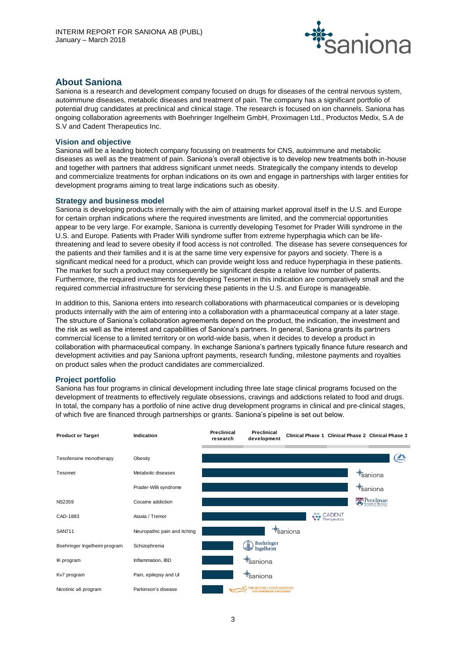

# **About Saniona**

Saniona is a research and development company focused on drugs for diseases of the central nervous system, autoimmune diseases, metabolic diseases and treatment of pain. The company has a significant portfolio of potential drug candidates at preclinical and clinical stage. The research is focused on ion channels. Saniona has ongoing collaboration agreements with Boehringer Ingelheim GmbH, Proximagen Ltd., Productos Medix, S.A de S.V and Cadent Therapeutics Inc.

## **Vision and objective**

Saniona will be a leading biotech company focussing on treatments for CNS, autoimmune and metabolic diseases as well as the treatment of pain. Saniona's overall objective is to develop new treatments both in-house and together with partners that address significant unmet needs. Strategically the company intends to develop and commercialize treatments for orphan indications on its own and engage in partnerships with larger entities for development programs aiming to treat large indications such as obesity.

## **Strategy and business model**

Saniona is developing products internally with the aim of attaining market approval itself in the U.S. and Europe for certain orphan indications where the required investments are limited, and the commercial opportunities appear to be very large. For example, Saniona is currently developing Tesomet for Prader Willi syndrome in the U.S. and Europe. Patients with Prader Willi syndrome suffer from extreme hyperphagia which can be lifethreatening and lead to severe obesity if food access is not controlled. The disease has severe consequences for the patients and their families and it is at the same time very expensive for payors and society. There is a significant medical need for a product, which can provide weight loss and reduce hyperphagia in these patients. The market for such a product may consequently be significant despite a relative low number of patients. Furthermore, the required investments for developing Tesomet in this indication are comparatively small and the required commercial infrastructure for servicing these patients in the U.S. and Europe is manageable.

In addition to this, Saniona enters into research collaborations with pharmaceutical companies or is developing products internally with the aim of entering into a collaboration with a pharmaceutical company at a later stage. The structure of Saniona's collaboration agreements depend on the product, the indication, the investment and the risk as well as the interest and capabilities of Saniona's partners. In general, Saniona grants its partners commercial license to a limited territory or on world-wide basis, when it decides to develop a product in collaboration with pharmaceutical company. In exchange Saniona's partners typically finance future research and development activities and pay Saniona upfront payments, research funding, milestone payments and royalties on product sales when the product candidates are commercialized.

## **Project portfolio**

Saniona has four programs in clinical development including three late stage clinical programs focused on the development of treatments to effectively regulate obsessions, cravings and addictions related to food and drugs. In total, the company has a portfolio of nine active drug development programs in clinical and pre-clinical stages, of which five are financed through partnerships or grants. Saniona's pipeline is set out below.

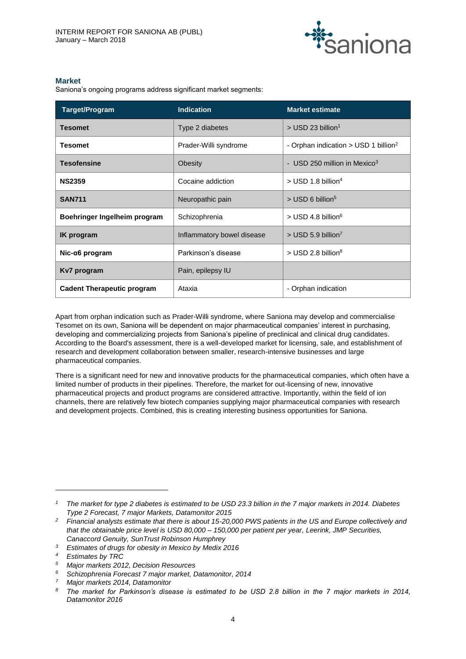

## **Market**

Saniona's ongoing programs address significant market segments:

| Target/Program                    | <b>Indication</b>                                       | <b>Market estimate</b>                             |  |  |
|-----------------------------------|---------------------------------------------------------|----------------------------------------------------|--|--|
| <b>Tesomet</b>                    | Type 2 diabetes                                         | $>$ USD 23 billion <sup>1</sup>                    |  |  |
| <b>Tesomet</b>                    | Prader-Willi syndrome                                   | - Orphan indication $>$ USD 1 billion <sup>2</sup> |  |  |
| <b>Tesofensine</b>                | - USD 250 million in Mexico <sup>3</sup><br>Obesity     |                                                    |  |  |
| <b>NS2359</b>                     | $>$ USD 1.8 billion <sup>4</sup><br>Cocaine addiction   |                                                    |  |  |
| <b>SAN711</b>                     | Neuropathic pain                                        | $>$ USD 6 billion <sup>5</sup>                     |  |  |
| Boehringer Ingelheim program      | Schizophrenia                                           | $>$ USD 4.8 billion <sup>6</sup>                   |  |  |
| <b>IK</b> program                 | Inflammatory bowel disease                              | $>$ USD 5.9 billion <sup>7</sup>                   |  |  |
| Nic-α6 program                    | $>$ USD 2.8 billion <sup>8</sup><br>Parkinson's disease |                                                    |  |  |
| Kv7 program                       | Pain, epilepsy IU                                       |                                                    |  |  |
| <b>Cadent Therapeutic program</b> | Ataxia                                                  | - Orphan indication                                |  |  |

Apart from orphan indication such as Prader-Willi syndrome, where Saniona may develop and commercialise Tesomet on its own, Saniona will be dependent on major pharmaceutical companies' interest in purchasing, developing and commercializing projects from Saniona's pipeline of preclinical and clinical drug candidates. According to the Board's assessment, there is a well-developed market for licensing, sale, and establishment of research and development collaboration between smaller, research-intensive businesses and large pharmaceutical companies.

There is a significant need for new and innovative products for the pharmaceutical companies, which often have a limited number of products in their pipelines. Therefore, the market for out-licensing of new, innovative pharmaceutical projects and product programs are considered attractive. Importantly, within the field of ion channels, there are relatively few biotech companies supplying major pharmaceutical companies with research and development projects. Combined, this is creating interesting business opportunities for Saniona.

 $\overline{a}$ 

*<sup>1</sup> The market for type 2 diabetes is estimated to be USD 23.3 billion in the 7 major markets in 2014. Diabetes Type 2 Forecast, 7 major Markets, Datamonitor 2015*

*<sup>2</sup> Financial analysts estimate that there is about 15-20,000 PWS patients in the US and Europe collectively and that the obtainable price level is USD 80,000 – 150,000 per patient per year, Leerink, JMP Securities, Canaccord Genuity, SunTrust Robinson Humphrey*

*<sup>3</sup> Estimates of drugs for obesity in Mexico by Medix 2016*

*<sup>4</sup> Estimates by TRC*

*<sup>5</sup> Major markets 2012, Decision Resources*

*<sup>6</sup> Schizophrenia Forecast 7 major market, Datamonitor, 2014*

*<sup>7</sup> Major markets 2014, Datamonitor*

*<sup>8</sup> The market for Parkinson's disease is estimated to be USD 2.8 billion in the 7 major markets in 2014, Datamonitor 2016*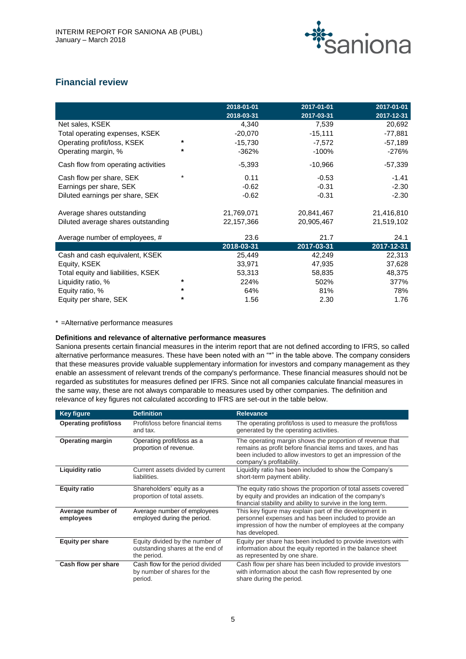

# **Financial review**

|                                     |         | 2018-01-01<br>2018-03-31 | 2017-01-01<br>2017-03-31 | 2017-01-01<br>2017-12-31 |
|-------------------------------------|---------|--------------------------|--------------------------|--------------------------|
| Net sales, KSEK                     |         | 4,340                    | 7,539                    | 20,692                   |
| Total operating expenses, KSEK      |         | $-20,070$                | $-15,111$                | -77,881                  |
| Operating profit/loss, KSEK         | *       | $-15,730$                | $-7,572$                 | $-57,189$                |
| Operating margin, %                 | *       | $-362%$                  | -100%                    | -276%                    |
| Cash flow from operating activities |         | $-5,393$                 | $-10,966$                | $-57,339$                |
| Cash flow per share, SEK            | $\star$ | 0.11                     | $-0.53$                  | $-1.41$                  |
| Earnings per share, SEK             |         | $-0.62$                  | $-0.31$                  | $-2.30$                  |
| Diluted earnings per share, SEK     |         | $-0.62$                  | $-0.31$                  | $-2.30$                  |
| Average shares outstanding          |         | 21,769,071               | 20,841,467               | 21,416,810               |
| Diluted average shares outstanding  |         | 22,157,366               | 20,905,467               | 21,519,102               |
| Average number of employees, #      |         | 23.6                     | 21.7                     | 24.1                     |
|                                     |         | 2018-03-31               | 2017-03-31               | 2017-12-31               |
| Cash and cash equivalent, KSEK      |         | 25,449                   | 42,249                   | 22,313                   |
| Equity, KSEK                        |         | 33,971                   | 47,935                   | 37,628                   |
| Total equity and liabilities, KSEK  |         | 53,313                   | 58,835                   | 48,375                   |
| Liquidity ratio, %                  | *       | 224%                     | 502%                     | 377%                     |
| Equity ratio, %                     | *       | 64%                      | 81%                      | 78%                      |
| Equity per share, SEK               | $\star$ | 1.56                     | 2.30                     | 1.76                     |

\* =Alternative performance measures

## **Definitions and relevance of alternative performance measures**

Saniona presents certain financial measures in the interim report that are not defined according to IFRS, so called alternative performance measures. These have been noted with an "\*" in the table above. The company considers that these measures provide valuable supplementary information for investors and company management as they enable an assessment of relevant trends of the company's performance. These financial measures should not be regarded as substitutes for measures defined per IFRS. Since not all companies calculate financial measures in the same way, these are not always comparable to measures used by other companies. The definition and relevance of key figures not calculated according to IFRS are set-out in the table below.

| <b>Key figure</b>              | <b>Definition</b>                                                                  | <b>Relevance</b>                                                                                                                                                                                                     |
|--------------------------------|------------------------------------------------------------------------------------|----------------------------------------------------------------------------------------------------------------------------------------------------------------------------------------------------------------------|
| <b>Operating profit/loss</b>   | Profit/loss before financial items<br>and tax.                                     | The operating profit/loss is used to measure the profit/loss<br>generated by the operating activities.                                                                                                               |
| <b>Operating margin</b>        | Operating profit/loss as a<br>proportion of revenue.                               | The operating margin shows the proportion of revenue that<br>remains as profit before financial items and taxes, and has<br>been included to allow investors to get an impression of the<br>company's profitability. |
| <b>Liquidity ratio</b>         | Current assets divided by current<br>liabilities.                                  | Liquidity ratio has been included to show the Company's<br>short-term payment ability.                                                                                                                               |
| <b>Equity ratio</b>            | Shareholders' equity as a<br>proportion of total assets.                           | The equity ratio shows the proportion of total assets covered<br>by equity and provides an indication of the company's<br>financial stability and ability to survive in the long term.                               |
| Average number of<br>employees | Average number of employees<br>employed during the period.                         | This key figure may explain part of the development in<br>personnel expenses and has been included to provide an<br>impression of how the number of employees at the company<br>has developed.                       |
| <b>Equity per share</b>        | Equity divided by the number of<br>outstanding shares at the end of<br>the period. | Equity per share has been included to provide investors with<br>information about the equity reported in the balance sheet<br>as represented by one share.                                                           |
| Cash flow per share            | Cash flow for the period divided<br>by number of shares for the<br>period.         | Cash flow per share has been included to provide investors<br>with information about the cash flow represented by one<br>share during the period.                                                                    |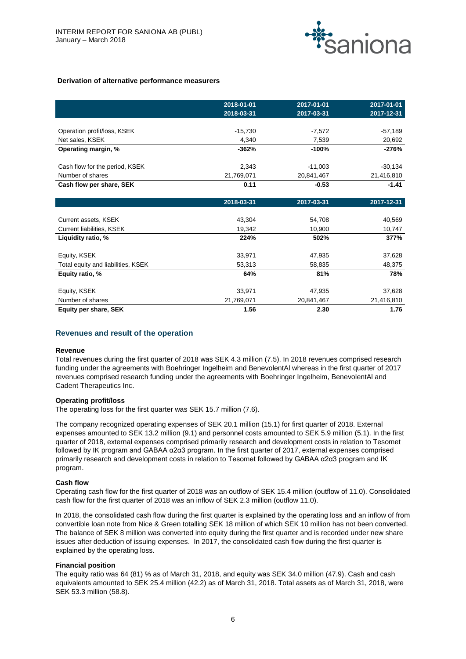

#### **Derivation of alternative performance measurers**

|                                    | 2018-01-01 | 2017-01-01 | 2017-01-01 |
|------------------------------------|------------|------------|------------|
|                                    | 2018-03-31 | 2017-03-31 | 2017-12-31 |
|                                    |            |            |            |
| Operation profit/loss, KSEK        | $-15,730$  | $-7,572$   | $-57,189$  |
| Net sales, KSEK                    | 4,340      | 7,539      | 20,692     |
| Operating margin, %                | $-362%$    | $-100%$    | $-276%$    |
| Cash flow for the period, KSEK     | 2,343      | $-11,003$  | $-30,134$  |
| Number of shares                   | 21,769,071 | 20,841,467 | 21,416,810 |
| Cash flow per share, SEK           | 0.11       | $-0.53$    | $-1.41$    |
|                                    | 2018-03-31 | 2017-03-31 | 2017-12-31 |
|                                    |            |            |            |
| Current assets, KSEK               | 43,304     | 54,708     | 40,569     |
| Current liabilities, KSEK          | 19,342     | 10,900     | 10,747     |
| Liquidity ratio, %                 | 224%       | 502%       | 377%       |
| Equity, KSEK                       | 33,971     | 47,935     | 37,628     |
| Total equity and liabilities, KSEK | 53,313     | 58,835     | 48,375     |
| Equity ratio, %                    | 64%        | 81%        | 78%        |
| Equity, KSEK                       | 33,971     | 47,935     | 37,628     |
| Number of shares                   | 21,769,071 | 20,841,467 | 21,416,810 |
| Equity per share, SEK              | 1.56       | 2.30       | 1.76       |

## **Revenues and result of the operation**

#### **Revenue**

Total revenues during the first quarter of 2018 was SEK 4.3 million (7.5). In 2018 revenues comprised research funding under the agreements with Boehringer Ingelheim and BenevolentAl whereas in the first quarter of 2017 revenues comprised research funding under the agreements with Boehringer Ingelheim, BenevolentAl and Cadent Therapeutics Inc.

#### **Operating profit/loss**

The operating loss for the first quarter was SEK 15.7 million (7.6).

The company recognized operating expenses of SEK 20.1 million (15.1) for first quarter of 2018. External expenses amounted to SEK 13.2 million (9.1) and personnel costs amounted to SEK 5.9 million (5.1). In the first quarter of 2018, external expenses comprised primarily research and development costs in relation to Tesomet followed by IK program and GABAA α2α3 program. In the first quarter of 2017, external expenses comprised primarily research and development costs in relation to Tesomet followed by GABAA α2α3 program and IK program.

#### **Cash flow**

Operating cash flow for the first quarter of 2018 was an outflow of SEK 15.4 million (outflow of 11.0). Consolidated cash flow for the first quarter of 2018 was an inflow of SEK 2.3 million (outflow 11.0).

In 2018, the consolidated cash flow during the first quarter is explained by the operating loss and an inflow of from convertible loan note from Nice & Green totalling SEK 18 million of which SEK 10 million has not been converted. The balance of SEK 8 million was converted into equity during the first quarter and is recorded under new share issues after deduction of issuing expenses. In 2017, the consolidated cash flow during the first quarter is explained by the operating loss.

#### **Financial position**

The equity ratio was 64 (81) % as of March 31, 2018, and equity was SEK 34.0 million (47.9). Cash and cash equivalents amounted to SEK 25.4 million (42.2) as of March 31, 2018. Total assets as of March 31, 2018, were SEK 53.3 million (58.8).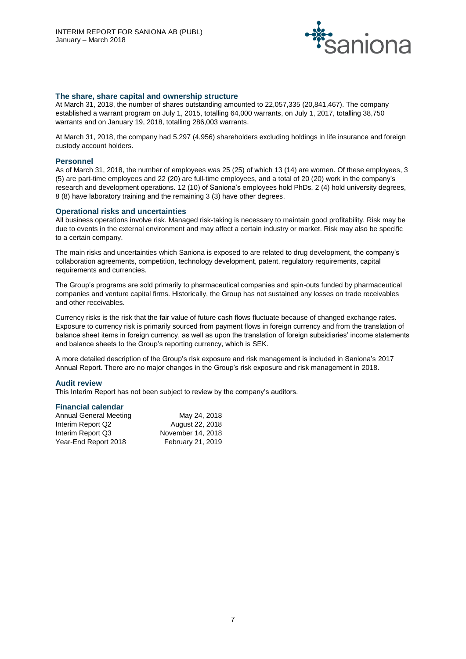

## **The share, share capital and ownership structure**

At March 31, 2018, the number of shares outstanding amounted to 22,057,335 (20,841,467). The company established a warrant program on July 1, 2015, totalling 64,000 warrants, on July 1, 2017, totalling 38,750 warrants and on January 19, 2018, totalling 286,003 warrants.

At March 31, 2018, the company had 5,297 (4,956) shareholders excluding holdings in life insurance and foreign custody account holders.

#### **Personnel**

As of March 31, 2018, the number of employees was 25 (25) of which 13 (14) are women. Of these employees, 3 (5) are part-time employees and 22 (20) are full-time employees, and a total of 20 (20) work in the company's research and development operations. 12 (10) of Saniona's employees hold PhDs, 2 (4) hold university degrees, 8 (8) have laboratory training and the remaining 3 (3) have other degrees.

## **Operational risks and uncertainties**

All business operations involve risk. Managed risk-taking is necessary to maintain good profitability. Risk may be due to events in the external environment and may affect a certain industry or market. Risk may also be specific to a certain company.

The main risks and uncertainties which Saniona is exposed to are related to drug development, the company's collaboration agreements, competition, technology development, patent, regulatory requirements, capital requirements and currencies.

The Group's programs are sold primarily to pharmaceutical companies and spin-outs funded by pharmaceutical companies and venture capital firms. Historically, the Group has not sustained any losses on trade receivables and other receivables.

Currency risks is the risk that the fair value of future cash flows fluctuate because of changed exchange rates. Exposure to currency risk is primarily sourced from payment flows in foreign currency and from the translation of balance sheet items in foreign currency, as well as upon the translation of foreign subsidiaries' income statements and balance sheets to the Group's reporting currency, which is SEK.

A more detailed description of the Group's risk exposure and risk management is included in Saniona's 2017 Annual Report. There are no major changes in the Group's risk exposure and risk management in 2018.

#### **Audit review**

This Interim Report has not been subject to review by the company's auditors.

## **Financial calendar**

| Annual General Meeting | May 24, 2018      |
|------------------------|-------------------|
| Interim Report Q2      | August 22, 2018   |
| Interim Report Q3      | November 14, 2018 |
| Year-End Report 2018   | February 21, 2019 |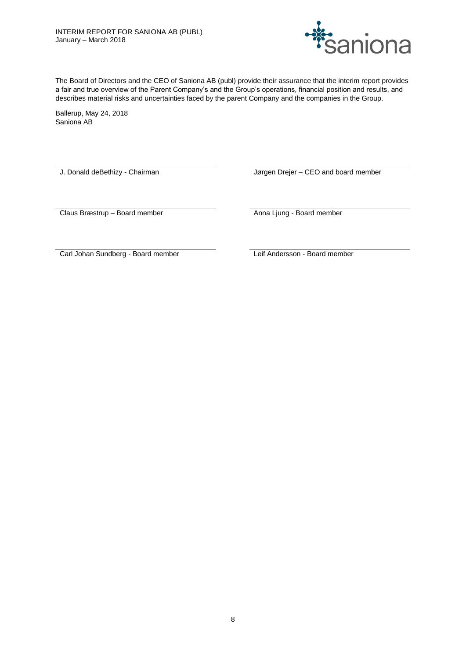

The Board of Directors and the CEO of Saniona AB (publ) provide their assurance that the interim report provides a fair and true overview of the Parent Company's and the Group's operations, financial position and results, and describes material risks and uncertainties faced by the parent Company and the companies in the Group.

Ballerup, May 24, 2018 Saniona AB

J. Donald deBethizy - Chairman Jørgen Drejer – CEO and board member

Claus Bræstrup – Board member **Anna Ljung - Board member** Anna Ljung - Board member

Carl Johan Sundberg - Board member Leif Andersson - Board member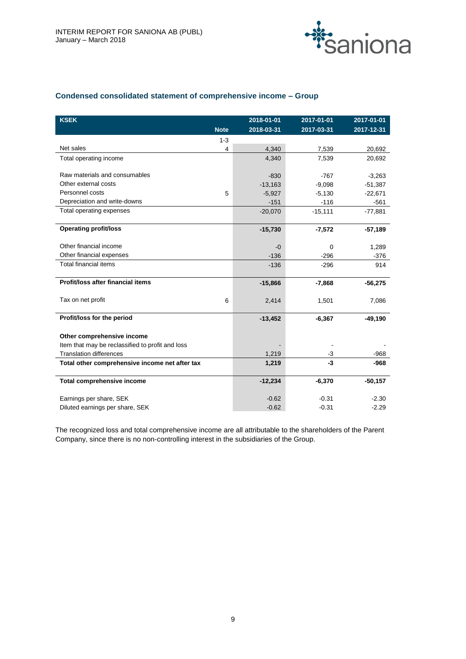

# **Condensed consolidated statement of comprehensive income – Group**

| <b>KSEK</b>                                      | 2018-01-01 | 2017-01-01 | 2017-01-01       |
|--------------------------------------------------|------------|------------|------------------|
| <b>Note</b>                                      | 2018-03-31 | 2017-03-31 | $2017 - 12 - 31$ |
| $1 - 3$                                          |            |            |                  |
| Net sales<br>4                                   | 4,340      | 7,539      | 20,692           |
| Total operating income                           | 4,340      | 7,539      | 20,692           |
|                                                  |            |            |                  |
| Raw materials and consumables                    | $-830$     | $-767$     | $-3,263$         |
| Other external costs                             | $-13,163$  | $-9,098$   | $-51,387$        |
| Personnel costs<br>5                             | $-5,927$   | $-5,130$   | $-22,671$        |
| Depreciation and write-downs                     | $-151$     | $-116$     | $-561$           |
| Total operating expenses                         | $-20,070$  | $-15,111$  | $-77,881$        |
|                                                  |            |            |                  |
| <b>Operating profit/loss</b>                     | $-15,730$  | $-7,572$   | $-57,189$        |
|                                                  |            |            |                  |
| Other financial income                           | $-0$       | $\Omega$   | 1,289            |
| Other financial expenses                         | $-136$     | $-296$     | $-376$           |
| <b>Total financial items</b>                     | $-136$     | $-296$     | 914              |
|                                                  |            |            |                  |
| Profit/loss after financial items                | $-15,866$  | $-7,868$   | $-56,275$        |
|                                                  |            |            |                  |
| Tax on net profit<br>6                           | 2,414      | 1,501      | 7,086            |
|                                                  |            |            |                  |
| Profit/loss for the period                       | $-13,452$  | $-6,367$   | $-49,190$        |
|                                                  |            |            |                  |
| Other comprehensive income                       |            |            |                  |
| Item that may be reclassified to profit and loss |            |            |                  |
| <b>Translation differences</b>                   | 1,219      | $-3$       | $-968$           |
| Total other comprehensive income net after tax   | 1,219      | $-3$       | $-968$           |
|                                                  |            |            |                  |
| Total comprehensive income                       | $-12,234$  | $-6,370$   | $-50,157$        |
| Earnings per share, SEK                          | $-0.62$    | $-0.31$    | $-2.30$          |
| Diluted earnings per share, SEK                  | $-0.62$    | $-0.31$    | $-2.29$          |

The recognized loss and total comprehensive income are all attributable to the shareholders of the Parent Company, since there is no non-controlling interest in the subsidiaries of the Group.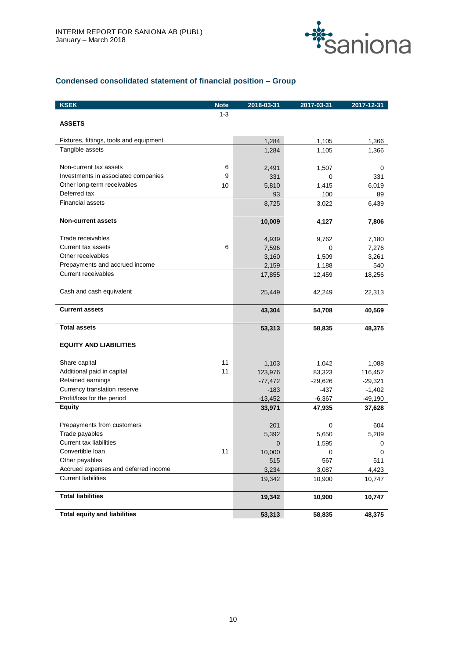

# **Condensed consolidated statement of financial position – Group**

| <b>KSEK</b>                             | <b>Note</b> | 2018-03-31 | 2017-03-31 | 2017-12-31 |
|-----------------------------------------|-------------|------------|------------|------------|
|                                         | $1 - 3$     |            |            |            |
| <b>ASSETS</b>                           |             |            |            |            |
| Fixtures, fittings, tools and equipment |             | 1,284      | 1,105      | 1,366      |
| Tangible assets                         |             | 1,284      | 1,105      | 1,366      |
|                                         |             |            |            |            |
| Non-current tax assets                  | 6           | 2,491      | 1,507      | 0          |
| Investments in associated companies     | 9           | 331        | 0          | 331        |
| Other long-term receivables             | 10          | 5,810      | 1,415      | 6,019      |
| Deferred tax                            |             | 93         | 100        | 89         |
| <b>Financial assets</b>                 |             | 8,725      | 3,022      | 6,439      |
| <b>Non-current assets</b>               |             | 10,009     | 4,127      | 7,806      |
| Trade receivables                       |             | 4,939      | 9,762      | 7,180      |
| Current tax assets                      | 6           | 7,596      | 0          | 7,276      |
| Other receivables                       |             | 3,160      | 1,509      | 3,261      |
| Prepayments and accrued income          |             | 2,159      | 1,188      | 540        |
| <b>Current receivables</b>              |             | 17,855     | 12,459     | 18,256     |
| Cash and cash equivalent                |             | 25,449     | 42,249     | 22,313     |
| <b>Current assets</b>                   |             | 43,304     | 54,708     | 40,569     |
| <b>Total assets</b>                     |             | 53,313     | 58,835     | 48,375     |
| <b>EQUITY AND LIABILITIES</b>           |             |            |            |            |
| Share capital                           | 11          | 1,103      | 1,042      | 1,088      |
| Additional paid in capital              | 11          | 123,976    | 83,323     | 116,452    |
| Retained earnings                       |             | $-77,472$  | $-29,626$  | $-29,321$  |
| Currency translation reserve            |             | $-183$     | $-437$     | $-1,402$   |
| Profit/loss for the period              |             | $-13,452$  | $-6,367$   | $-49,190$  |
| <b>Equity</b>                           |             | 33,971     | 47,935     | 37,628     |
| Prepayments from customers              |             | 201        | 0          | 604        |
| Trade payables                          |             | 5,392      | 5,650      | 5,209      |
| <b>Current tax liabilities</b>          |             | 0          | 1,595      | 0          |
| Convertible loan                        | 11          | 10,000     | 0          | 0          |
| Other payables                          |             | 515        | 567        | 511        |
| Accrued expenses and deferred income    |             | 3,234      | 3,087      | 4,423      |
| <b>Current liabilities</b>              |             | 19,342     | 10,900     | 10,747     |
| <b>Total liabilities</b>                |             | 19,342     | 10,900     | 10,747     |
| <b>Total equity and liabilities</b>     |             | 53,313     | 58,835     | 48,375     |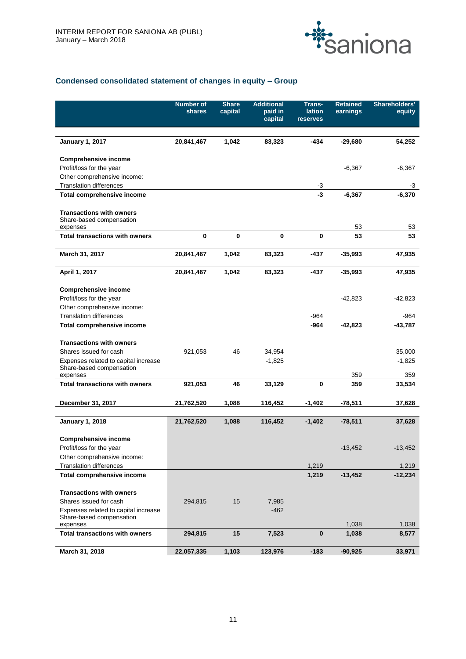

# **Condensed consolidated statement of changes in equity – Group**

|                                                                     | <b>Number of</b><br>shares | <b>Share</b><br>capital | <b>Additional</b><br>paid in<br>capital | <b>Trans-</b><br>lation<br>reserves | <b>Retained</b><br>earnings | Shareholders'<br>equity |
|---------------------------------------------------------------------|----------------------------|-------------------------|-----------------------------------------|-------------------------------------|-----------------------------|-------------------------|
|                                                                     |                            |                         |                                         |                                     |                             |                         |
| <b>January 1, 2017</b>                                              | 20,841,467                 | 1,042                   | 83,323                                  | $-434$                              | $-29,680$                   | 54,252                  |
| <b>Comprehensive income</b>                                         |                            |                         |                                         |                                     |                             |                         |
| Profit/loss for the year                                            |                            |                         |                                         |                                     | $-6,367$                    | $-6,367$                |
| Other comprehensive income:                                         |                            |                         |                                         |                                     |                             |                         |
| <b>Translation differences</b><br><b>Total comprehensive income</b> |                            |                         |                                         | $-3$<br>$-3$                        | $-6,367$                    | -3<br>$-6,370$          |
|                                                                     |                            |                         |                                         |                                     |                             |                         |
| <b>Transactions with owners</b><br>Share-based compensation         |                            |                         |                                         |                                     | 53                          | 53                      |
| expenses<br><b>Total transactions with owners</b>                   | 0                          | $\bf{0}$                | 0                                       | $\bf{0}$                            | 53                          | 53                      |
|                                                                     |                            |                         |                                         |                                     |                             |                         |
| March 31, 2017                                                      | 20,841,467                 | 1,042                   | 83,323                                  | -437                                | $-35,993$                   | 47,935                  |
| April 1, 2017                                                       | 20,841,467                 | 1,042                   | 83,323                                  | -437                                | $-35,993$                   | 47,935                  |
| <b>Comprehensive income</b>                                         |                            |                         |                                         |                                     |                             |                         |
| Profit/loss for the year                                            |                            |                         |                                         |                                     | -42,823                     | -42,823                 |
| Other comprehensive income:                                         |                            |                         |                                         |                                     |                             |                         |
| <b>Translation differences</b>                                      |                            |                         |                                         | $-964$                              |                             | $-964$                  |
| <b>Total comprehensive income</b>                                   |                            |                         |                                         | $-964$                              | $-42,823$                   | $-43,787$               |
| <b>Transactions with owners</b>                                     |                            |                         |                                         |                                     |                             |                         |
| Shares issued for cash                                              | 921,053                    | 46                      | 34,954                                  |                                     |                             | 35,000                  |
| Expenses related to capital increase<br>Share-based compensation    |                            |                         | $-1,825$                                |                                     |                             | $-1,825$                |
| expenses                                                            |                            |                         |                                         |                                     | 359                         | 359                     |
| <b>Total transactions with owners</b>                               | 921,053                    | 46                      | 33,129                                  | 0                                   | 359                         | 33,534                  |
| December 31, 2017                                                   | 21,762,520                 | 1,088                   | 116,452                                 | $-1,402$                            | -78,511                     | 37,628                  |
|                                                                     |                            |                         |                                         |                                     |                             |                         |
| <b>January 1, 2018</b>                                              | 21,762,520                 | 1,088                   | 116,452                                 | -1,402                              | $-78,511$                   | 37,628                  |
| <b>Comprehensive income</b>                                         |                            |                         |                                         |                                     |                             |                         |
| Profit/loss for the year                                            |                            |                         |                                         |                                     | $-13,452$                   | $-13,452$               |
| Other comprehensive income:                                         |                            |                         |                                         |                                     |                             |                         |
| <b>Translation differences</b>                                      |                            |                         |                                         | 1,219                               |                             | 1,219                   |
| <b>Total comprehensive income</b>                                   |                            |                         |                                         | 1,219                               | $-13,452$                   | $-12,234$               |
| <b>Transactions with owners</b>                                     |                            |                         |                                         |                                     |                             |                         |
| Shares issued for cash                                              | 294,815                    | 15                      | 7,985                                   |                                     |                             |                         |
| Expenses related to capital increase                                |                            |                         | $-462$                                  |                                     |                             |                         |
| Share-based compensation                                            |                            |                         |                                         |                                     |                             |                         |
| expenses                                                            |                            |                         |                                         |                                     | 1,038                       | 1,038                   |
| <b>Total transactions with owners</b>                               | 294,815                    | 15                      | 7,523                                   | $\bf{0}$                            | 1,038                       | 8,577                   |
| March 31, 2018                                                      | 22,057,335                 | 1,103                   | 123,976                                 | $-183$                              | $-90,925$                   | 33,971                  |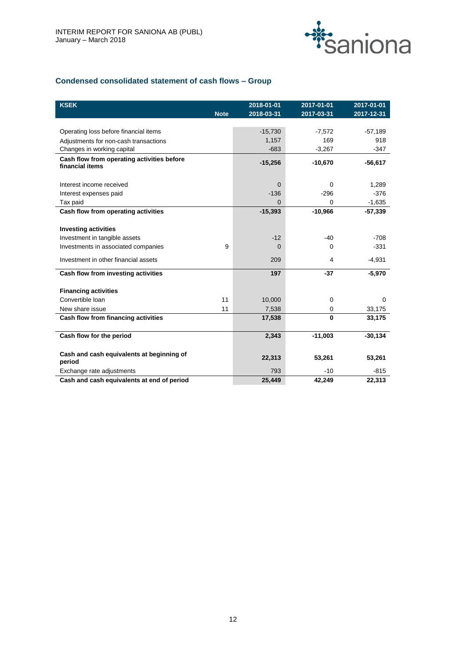

# **Condensed consolidated statement of cash flows – Group**

| <b>KSEK</b>                                |             | 2018-01-01   | 2017-01-01   | 2017-01-01 |
|--------------------------------------------|-------------|--------------|--------------|------------|
|                                            | <b>Note</b> | 2018-03-31   | 2017-03-31   | 2017-12-31 |
| Operating loss before financial items      |             | $-15,730$    | $-7,572$     | $-57,189$  |
| Adjustments for non-cash transactions      |             | 1,157        | 169          | 918        |
| Changes in working capital                 |             | $-683$       | $-3,267$     | $-347$     |
| Cash flow from operating activities before |             |              |              |            |
| financial items                            |             | $-15,256$    | $-10,670$    | -56,617    |
|                                            |             |              |              |            |
| Interest income received                   |             | $\Omega$     | $\Omega$     | 1,289      |
| Interest expenses paid                     |             | $-136$       | $-296$       | $-376$     |
| Tax paid                                   |             | <sup>0</sup> | 0            | $-1,635$   |
| Cash flow from operating activities        |             | $-15,393$    | $-10,966$    | $-57,339$  |
|                                            |             |              |              |            |
| <b>Investing activities</b>                |             |              |              |            |
| Investment in tangible assets              |             | $-12$        | -40          | $-708$     |
| Investments in associated companies        | 9           | $\Omega$     | 0            | $-331$     |
| Investment in other financial assets       |             | 209          | 4            | $-4,931$   |
| Cash flow from investing activities        |             | 197          | $-37$        | $-5,970$   |
| <b>Financing activities</b>                |             |              |              |            |
| Convertible Ioan                           | 11          | 10,000       | $\mathbf 0$  | $\Omega$   |
| New share issue                            | 11          | 7,538        | 0            | 33,175     |
| Cash flow from financing activities        |             | 17,538       | $\mathbf{0}$ | 33,175     |
| Cash flow for the period                   |             | 2,343        | $-11,003$    | $-30,134$  |
| Cash and cash equivalents at beginning of  |             |              |              |            |
| period                                     |             | 22,313       | 53,261       | 53,261     |
| Exchange rate adjustments                  |             | 793          | $-10$        | $-815$     |
| Cash and cash equivalents at end of period |             | 25.449       | 42.249       | 22,313     |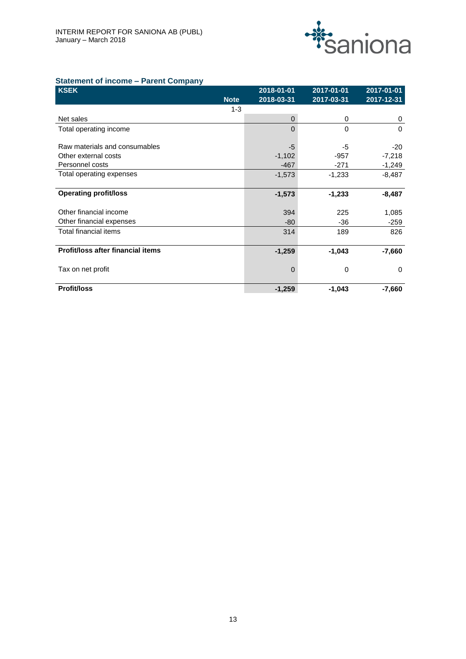

# **Statement of income – Parent Company**

|          | 2017-03-31 | 2017-12-31 |
|----------|------------|------------|
|          |            |            |
| 0        | 0          | 0          |
| $\Omega$ | 0          | $\Omega$   |
|          |            |            |
| $-5$     | -5         | $-20$      |
| $-1,102$ | $-957$     | $-7,218$   |
| $-467$   | -271       | $-1,249$   |
| $-1,573$ | $-1,233$   | $-8,487$   |
|          |            |            |
| $-1,573$ | $-1,233$   | $-8,487$   |
|          |            |            |
| 394      | 225        | 1,085      |
| $-80$    | $-36$      | $-259$     |
| 314      | 189        | 826        |
|          |            |            |
| $-1,259$ | $-1,043$   | $-7,660$   |
|          |            |            |
| 0        | 0          | $\Omega$   |
|          |            |            |
| $-1,259$ | $-1,043$   | $-7,660$   |
|          | 2018-03-31 |            |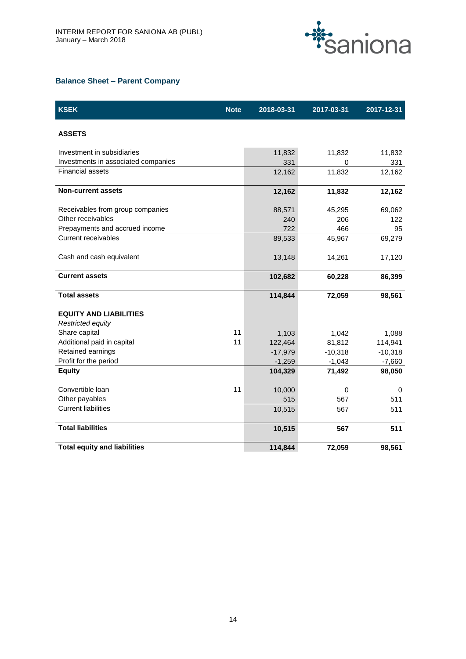

## **Balance Sheet – Parent Company**

| <b>KSEK</b>                         | <b>Note</b> | 2018-03-31 | 2017-03-31 | 2017-12-31 |
|-------------------------------------|-------------|------------|------------|------------|
| <b>ASSETS</b>                       |             |            |            |            |
| Investment in subsidiaries          |             | 11,832     | 11,832     | 11,832     |
| Investments in associated companies |             | 331        | 0          | 331        |
| <b>Financial assets</b>             |             | 12,162     | 11,832     | 12,162     |
| <b>Non-current assets</b>           |             | 12,162     | 11,832     | 12,162     |
| Receivables from group companies    |             | 88,571     | 45,295     | 69,062     |
| Other receivables                   |             | 240        | 206        | 122        |
| Prepayments and accrued income      |             | 722        | 466        | 95         |
| <b>Current receivables</b>          |             | 89,533     | 45,967     | 69,279     |
| Cash and cash equivalent            |             | 13,148     | 14,261     | 17,120     |
| <b>Current assets</b>               |             | 102,682    | 60,228     | 86,399     |
| <b>Total assets</b>                 |             | 114,844    | 72,059     | 98,561     |
| <b>EQUITY AND LIABILITIES</b>       |             |            |            |            |
| Restricted equity                   |             |            |            |            |
| Share capital                       | 11          | 1,103      | 1,042      | 1,088      |
| Additional paid in capital          | 11          | 122,464    | 81,812     | 114,941    |
| Retained earnings                   |             | $-17,979$  | $-10,318$  | $-10,318$  |
| Profit for the period               |             | $-1,259$   | $-1,043$   | $-7,660$   |
| <b>Equity</b>                       |             | 104,329    | 71,492     | 98,050     |
| Convertible Ioan                    | 11          | 10,000     | 0          | 0          |
| Other payables                      |             | 515        | 567        | 511        |
| <b>Current liabilities</b>          |             | 10,515     | 567        | 511        |
| <b>Total liabilities</b>            |             | 10,515     | 567        | 511        |
| <b>Total equity and liabilities</b> |             | 114,844    | 72,059     | 98,561     |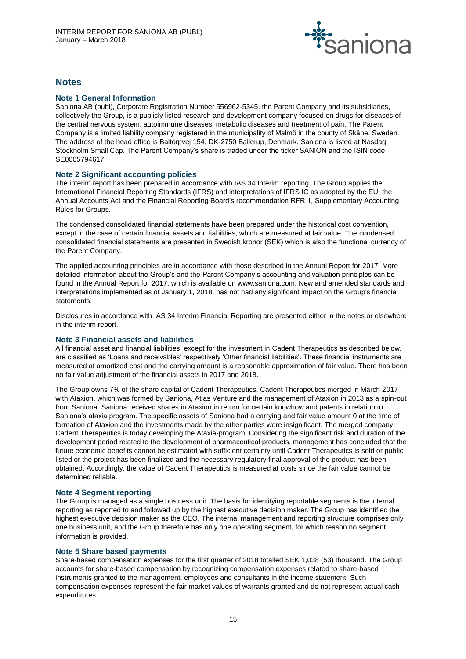

# **Notes**

## **Note 1 General Information**

Saniona AB (publ), Corporate Registration Number 556962-5345, the Parent Company and its subsidiaries, collectively the Group, is a publicly listed research and development company focused on drugs for diseases of the central nervous system, autoimmune diseases, metabolic diseases and treatment of pain. The Parent Company is a limited liability company registered in the municipality of Malmö in the county of Skåne, Sweden. The address of the head office is Baltorpvej 154, DK-2750 Ballerup, Denmark. Saniona is listed at Nasdaq Stockholm Small Cap. The Parent Company's share is traded under the ticker SANION and the ISIN code SE0005794617.

## **Note 2 Significant accounting policies**

The interim report has been prepared in accordance with IAS 34 Interim reporting. The Group applies the International Financial Reporting Standards (IFRS) and interpretations of IFRS IC as adopted by the EU, the Annual Accounts Act and the Financial Reporting Board's recommendation RFR 1, Supplementary Accounting Rules for Groups.

The condensed consolidated financial statements have been prepared under the historical cost convention, except in the case of certain financial assets and liabilities, which are measured at fair value. The condensed consolidated financial statements are presented in Swedish kronor (SEK) which is also the functional currency of the Parent Company.

The applied accounting principles are in accordance with those described in the Annual Report for 2017. More detailed information about the Group's and the Parent Company's accounting and valuation principles can be found in the Annual Report for 2017, which is available on www.saniona.com. New and amended standards and interpretations implemented as of January 1, 2018, has not had any significant impact on the Group's financial statements.

Disclosures in accordance with IAS 34 Interim Financial Reporting are presented either in the notes or elsewhere in the interim report.

## **Note 3 Financial assets and liabilities**

All financial asset and financial liabilities, except for the investment in Cadent Therapeutics as described below, are classified as 'Loans and receivables' respectively 'Other financial liabilities'. These financial instruments are measured at amortized cost and the carrying amount is a reasonable approximation of fair value. There has been no fair value adjustment of the financial assets in 2017 and 2018.

The Group owns 7% of the share capital of Cadent Therapeutics. Cadent Therapeutics merged in March 2017 with Ataxion, which was formed by Saniona, Atlas Venture and the management of Ataxion in 2013 as a spin-out from Saniona. Saniona received shares in Ataxion in return for certain knowhow and patents in relation to Saniona's ataxia program. The specific assets of Saniona had a carrying and fair value amount 0 at the time of formation of Ataxion and the investments made by the other parties were insignificant. The merged company Cadent Therapeutics is today developing the Ataxia-program. Considering the significant risk and duration of the development period related to the development of pharmaceutical products, management has concluded that the future economic benefits cannot be estimated with sufficient certainty until Cadent Therapeutics is sold or public listed or the project has been finalized and the necessary regulatory final approval of the product has been obtained. Accordingly, the value of Cadent Therapeutics is measured at costs since the fair value cannot be determined reliable.

## **Note 4 Segment reporting**

The Group is managed as a single business unit. The basis for identifying reportable segments is the internal reporting as reported to and followed up by the highest executive decision maker. The Group has identified the highest executive decision maker as the CEO. The internal management and reporting structure comprises only one business unit, and the Group therefore has only one operating segment, for which reason no segment information is provided.

## **Note 5 Share based payments**

Share-based compensation expenses for the first quarter of 2018 totalled SEK 1,038 (53) thousand. The Group accounts for share-based compensation by recognizing compensation expenses related to share-based instruments granted to the management, employees and consultants in the income statement. Such compensation expenses represent the fair market values of warrants granted and do not represent actual cash expenditures.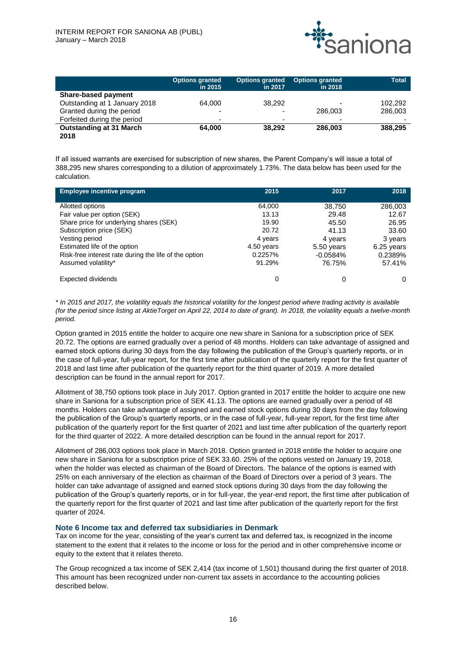

|                                | <b>Options granted</b><br>in 2015 | Options granted<br>in 2017 | <b>Options granted</b><br>in 2018 | <b>Total</b> |
|--------------------------------|-----------------------------------|----------------------------|-----------------------------------|--------------|
| <b>Share-based payment</b>     |                                   |                            |                                   |              |
| Outstanding at 1 January 2018  | 64.000                            | 38.292                     |                                   | 102,292      |
| Granted during the period      | $\overline{\phantom{0}}$          | $\overline{\phantom{0}}$   | 286,003                           | 286,003      |
| Forfeited during the period    | $\overline{\phantom{0}}$          | $\overline{\phantom{0}}$   | $\overline{\phantom{a}}$          |              |
| <b>Outstanding at 31 March</b> | 64.000                            | 38.292                     | 286.003                           | 388,295      |
| 2018                           |                                   |                            |                                   |              |

If all issued warrants are exercised for subscription of new shares, the Parent Company's will issue a total of 388,295 new shares corresponding to a dilution of approximately 1.73%. The data below has been used for the calculation.

| <b>Employee incentive program</b>                                                                                                                                                                                                                        | 2015                                                                            | 2017                                                                               | 2018                                                                             |
|----------------------------------------------------------------------------------------------------------------------------------------------------------------------------------------------------------------------------------------------------------|---------------------------------------------------------------------------------|------------------------------------------------------------------------------------|----------------------------------------------------------------------------------|
| Allotted options<br>Fair value per option (SEK)<br>Share price for underlying shares (SEK)<br>Subscription price (SEK)<br>Vesting period<br>Estimated life of the option<br>Risk-free interest rate during the life of the option<br>Assumed volatility* | 64,000<br>13.13<br>19.90<br>20.72<br>4 years<br>4.50 years<br>0.2257%<br>91.29% | 38,750<br>29.48<br>45.50<br>41.13<br>4 years<br>5.50 years<br>$-0.0584%$<br>76.75% | 286,003<br>12.67<br>26.95<br>33.60<br>3 years<br>6.25 years<br>0.2389%<br>57.41% |
| <b>Expected dividends</b>                                                                                                                                                                                                                                | 0                                                                               | 0                                                                                  |                                                                                  |

*\* In 2015 and 2017, the volatility equals the historical volatility for the longest period where trading activity is available (for the period since listing at AktieTorget on April 22, 2014 to date of grant). In 2018, the volatility equals a twelve-month period.*

Option granted in 2015 entitle the holder to acquire one new share in Saniona for a subscription price of SEK 20.72. The options are earned gradually over a period of 48 months. Holders can take advantage of assigned and earned stock options during 30 days from the day following the publication of the Group's quarterly reports, or in the case of full-year, full-year report, for the first time after publication of the quarterly report for the first quarter of 2018 and last time after publication of the quarterly report for the third quarter of 2019. A more detailed description can be found in the annual report for 2017.

Allotment of 38,750 options took place in July 2017. Option granted in 2017 entitle the holder to acquire one new share in Saniona for a subscription price of SEK 41.13. The options are earned gradually over a period of 48 months. Holders can take advantage of assigned and earned stock options during 30 days from the day following the publication of the Group's quarterly reports, or in the case of full-year, full-year report, for the first time after publication of the quarterly report for the first quarter of 2021 and last time after publication of the quarterly report for the third quarter of 2022. A more detailed description can be found in the annual report for 2017.

Allotment of 286,003 options took place in March 2018. Option granted in 2018 entitle the holder to acquire one new share in Saniona for a subscription price of SEK 33.60. 25% of the options vested on January 19, 2018, when the holder was elected as chairman of the Board of Directors. The balance of the options is earned with 25% on each anniversary of the election as chairman of the Board of Directors over a period of 3 years. The holder can take advantage of assigned and earned stock options during 30 days from the day following the publication of the Group's quarterly reports, or in for full-year, the year-end report, the first time after publication of the quarterly report for the first quarter of 2021 and last time after publication of the quarterly report for the first quarter of 2024.

## **Note 6 Income tax and deferred tax subsidiaries in Denmark**

Tax on income for the year, consisting of the year's current tax and deferred tax, is recognized in the income statement to the extent that it relates to the income or loss for the period and in other comprehensive income or equity to the extent that it relates thereto.

The Group recognized a tax income of SEK 2,414 (tax income of 1,501) thousand during the first quarter of 2018. This amount has been recognized under non-current tax assets in accordance to the accounting policies described below.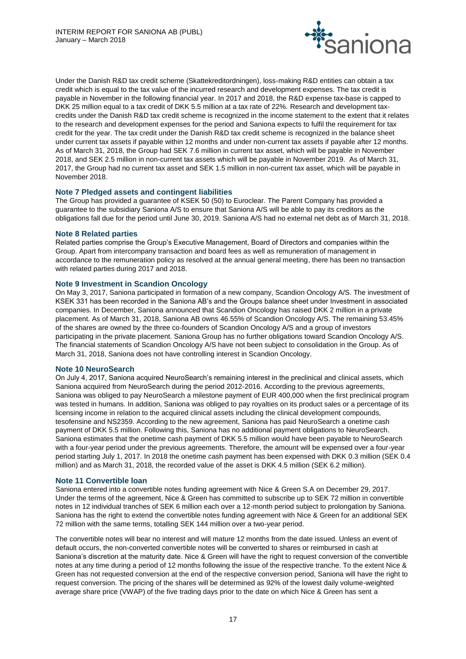

Under the Danish R&D tax credit scheme (Skattekreditordningen), loss-making R&D entities can obtain a tax credit which is equal to the tax value of the incurred research and development expenses. The tax credit is payable in November in the following financial year. In 2017 and 2018, the R&D expense tax-base is capped to DKK 25 million equal to a tax credit of DKK 5.5 million at a tax rate of 22%. Research and development taxcredits under the Danish R&D tax credit scheme is recognized in the income statement to the extent that it relates to the research and development expenses for the period and Saniona expects to fulfil the requirement for tax credit for the year. The tax credit under the Danish R&D tax credit scheme is recognized in the balance sheet under current tax assets if payable within 12 months and under non-current tax assets if payable after 12 months. As of March 31, 2018, the Group had SEK 7.6 million in current tax asset, which will be payable in November 2018, and SEK 2.5 million in non-current tax assets which will be payable in November 2019. As of March 31, 2017, the Group had no current tax asset and SEK 1.5 million in non-current tax asset, which will be payable in November 2018.

## **Note 7 Pledged assets and contingent liabilities**

The Group has provided a guarantee of KSEK 50 (50) to Euroclear. The Parent Company has provided a guarantee to the subsidiary Saniona A/S to ensure that Saniona A/S will be able to pay its creditors as the obligations fall due for the period until June 30, 2019. Saniona A/S had no external net debt as of March 31, 2018.

## **Note 8 Related parties**

Related parties comprise the Group's Executive Management, Board of Directors and companies within the Group. Apart from intercompany transaction and board fees as well as remuneration of management in accordance to the remuneration policy as resolved at the annual general meeting, there has been no transaction with related parties during 2017 and 2018.

## **Note 9 Investment in Scandion Oncology**

On May 3, 2017, Saniona participated in formation of a new company, Scandion Oncology A/S. The investment of KSEK 331 has been recorded in the Saniona AB's and the Groups balance sheet under Investment in associated companies. In December, Saniona announced that Scandion Oncology has raised DKK 2 million in a private placement. As of March 31, 2018, Saniona AB owns 46.55% of Scandion Oncology A/S. The remaining 53.45% of the shares are owned by the three co-founders of Scandion Oncology A/S and a group of investors participating in the private placement. Saniona Group has no further obligations toward Scandion Oncology A/S. The financial statements of Scandion Oncology A/S have not been subject to consolidation in the Group. As of March 31, 2018, Saniona does not have controlling interest in Scandion Oncology.

## **Note 10 NeuroSearch**

On July 4, 2017, Saniona acquired NeuroSearch's remaining interest in the preclinical and clinical assets, which Saniona acquired from NeuroSearch during the period 2012-2016. According to the previous agreements, Saniona was obliged to pay NeuroSearch a milestone payment of EUR 400,000 when the first preclinical program was tested in humans. In addition, Saniona was obliged to pay royalties on its product sales or a percentage of its licensing income in relation to the acquired clinical assets including the clinical development compounds, tesofensine and NS2359. According to the new agreement, Saniona has paid NeuroSearch a onetime cash payment of DKK 5.5 million. Following this, Saniona has no additional payment obligations to NeuroSearch. Saniona estimates that the onetime cash payment of DKK 5.5 million would have been payable to NeuroSearch with a four-year period under the previous agreements. Therefore, the amount will be expensed over a four-year period starting July 1, 2017. In 2018 the onetime cash payment has been expensed with DKK 0.3 million (SEK 0.4 million) and as March 31, 2018, the recorded value of the asset is DKK 4.5 million (SEK 6.2 million).

#### **Note 11 Convertible loan**

Saniona entered into a convertible notes funding agreement with Nice & Green S.A on December 29, 2017. Under the terms of the agreement, Nice & Green has committed to subscribe up to SEK 72 million in convertible notes in 12 individual tranches of SEK 6 million each over a 12-month period subject to prolongation by Saniona. Saniona has the right to extend the convertible notes funding agreement with Nice & Green for an additional SEK 72 million with the same terms, totalling SEK 144 million over a two-year period.

The convertible notes will bear no interest and will mature 12 months from the date issued. Unless an event of default occurs, the non-converted convertible notes will be converted to shares or reimbursed in cash at Saniona's discretion at the maturity date. Nice & Green will have the right to request conversion of the convertible notes at any time during a period of 12 months following the issue of the respective tranche. To the extent Nice & Green has not requested conversion at the end of the respective conversion period, Saniona will have the right to request conversion. The pricing of the shares will be determined as 92% of the lowest daily volume-weighted average share price (VWAP) of the five trading days prior to the date on which Nice & Green has sent a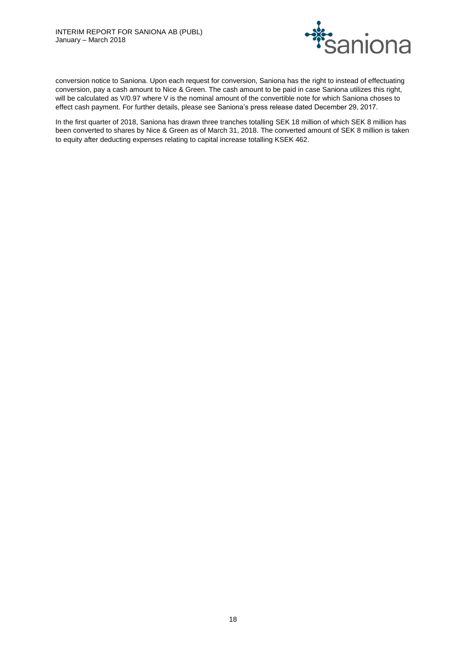

conversion notice to Saniona. Upon each request for conversion, Saniona has the right to instead of effectuating conversion, pay a cash amount to Nice & Green. The cash amount to be paid in case Saniona utilizes this right, will be calculated as V/0.97 where V is the nominal amount of the convertible note for which Saniona choses to effect cash payment. For further details, please see Saniona's press release dated December 29, 2017.

In the first quarter of 2018, Saniona has drawn three tranches totalling SEK 18 million of which SEK 8 million has been converted to shares by Nice & Green as of March 31, 2018. The converted amount of SEK 8 million is taken to equity after deducting expenses relating to capital increase totalling KSEK 462.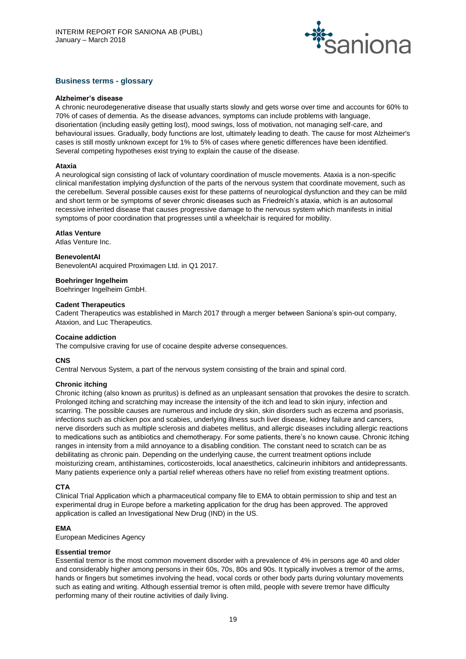

## **Business terms - glossary**

#### **Alzheimer's disease**

A chronic neurodegenerative disease that usually starts slowly and gets worse over time and accounts for 60% to 70% of cases of dementia. As the disease advances, symptoms can include problems with language, disorientation (including easily getting lost), mood swings, loss of motivation, not managing self-care, and behavioural issues. Gradually, body functions are lost, ultimately leading to death. The cause for most Alzheimer's cases is still mostly unknown except for 1% to 5% of cases where genetic differences have been identified. Several competing hypotheses exist trying to explain the cause of the disease.

## **Ataxia**

A neurological sign consisting of lack of voluntary coordination of muscle movements. Ataxia is a non-specific clinical manifestation implying dysfunction of the parts of the nervous system that coordinate movement, such as the cerebellum. Several possible causes exist for these patterns of neurological dysfunction and they can be mild and short term or be symptoms of sever chronic diseases such as Friedreich's ataxia, which is an autosomal recessive inherited disease that causes progressive damage to the nervous system which manifests in initial symptoms of poor coordination that progresses until a wheelchair is required for mobility.

## **Atlas Venture**

Atlas Venture Inc.

#### **BenevolentAI**

BenevolentAI acquired Proximagen Ltd. in Q1 2017.

## **Boehringer Ingelheim**

Boehringer Ingelheim GmbH.

## **Cadent Therapeutics**

Cadent Therapeutics was established in March 2017 through a merger between Saniona's spin-out company, Ataxion, and Luc Therapeutics.

#### **Cocaine addiction**

The compulsive craving for use of cocaine despite adverse consequences.

#### **CNS**

Central Nervous System, a part of the nervous system consisting of the brain and spinal cord.

#### **Chronic itching**

Chronic itching (also known as pruritus) is defined as an unpleasant sensation that provokes the desire to scratch. Prolonged itching and scratching may increase the intensity of the itch and lead to skin injury, infection and scarring. The possible causes are numerous and include dry skin, skin disorders such as eczema and psoriasis, infections such as chicken pox and scabies, underlying illness such liver disease, kidney failure and cancers, nerve disorders such as multiple sclerosis and diabetes mellitus, and allergic diseases including allergic reactions to medications such as antibiotics and chemotherapy. For some patients, there's no known cause. Chronic itching ranges in intensity from a mild annoyance to a disabling condition. The constant need to scratch can be as debilitating as chronic pain. Depending on the underlying cause, the current treatment options include moisturizing cream, antihistamines, corticosteroids, local anaesthetics, calcineurin inhibitors and antidepressants. Many patients experience only a partial relief whereas others have no relief from existing treatment options.

#### **CTA**

Clinical Trial Application which a pharmaceutical company file to EMA to obtain permission to ship and test an experimental drug in Europe before a marketing application for the drug has been approved. The approved application is called an Investigational New Drug (IND) in the US.

## **EMA**

European Medicines Agency

## **Essential tremor**

Essential tremor is the most common movement disorder with a prevalence of 4% in persons age 40 and older and considerably higher among persons in their 60s, 70s, 80s and 90s. It typically involves a tremor of the arms, hands or fingers but sometimes involving the head, vocal cords or other body parts during voluntary movements such as eating and writing. Although essential tremor is often mild, people with severe tremor have difficulty performing many of their routine activities of daily living.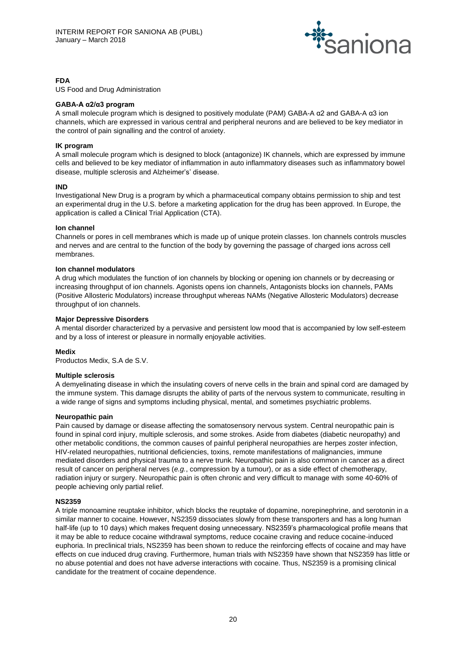

## **FDA**

US Food and Drug Administration

## **GABA-A α2/α3 program**

A small molecule program which is designed to positively modulate (PAM) GABA-A α2 and GABA-A α3 ion channels, which are expressed in various central and peripheral neurons and are believed to be key mediator in the control of pain signalling and the control of anxiety.

## **IK program**

A small molecule program which is designed to block (antagonize) IK channels, which are expressed by immune cells and believed to be key mediator of inflammation in auto inflammatory diseases such as inflammatory bowel disease, multiple sclerosis and Alzheimer's' disease.

## **IND**

Investigational New Drug is a program by which a pharmaceutical company obtains permission to ship and test an experimental drug in the U.S. before a marketing application for the drug has been approved. In Europe, the application is called a Clinical Trial Application (CTA).

## **Ion channel**

Channels or pores in cell membranes which is made up of unique protein classes. Ion channels controls muscles and nerves and are central to the function of the body by governing the passage of charged ions across cell membranes.

## **Ion channel modulators**

A drug which modulates the function of ion channels by blocking or opening ion channels or by decreasing or increasing throughput of ion channels. Agonists opens ion channels, Antagonists blocks ion channels, PAMs (Positive Allosteric Modulators) increase throughput whereas NAMs (Negative Allosteric Modulators) decrease throughput of ion channels.

## **Major Depressive Disorders**

A mental disorder characterized by a pervasive and persistent low mood that is accompanied by low self-esteem and by a loss of interest or pleasure in normally enjoyable activities.

#### **Medix**

Productos Medix, S.A de S.V.

#### **Multiple sclerosis**

A demyelinating disease in which the insulating covers of nerve cells in the brain and spinal cord are damaged by the immune system. This damage disrupts the ability of parts of the nervous system to communicate, resulting in a wide range of signs and symptoms including physical, mental, and sometimes psychiatric problems.

#### **Neuropathic pain**

Pain caused by damage or disease affecting the somatosensory nervous system. Central neuropathic pain is found in spinal cord injury, multiple sclerosis, and some strokes. Aside from diabetes (diabetic neuropathy) and other metabolic conditions, the common causes of painful peripheral neuropathies are herpes zoster infection, HIV-related neuropathies, nutritional deficiencies, toxins, remote manifestations of malignancies, immune mediated disorders and physical trauma to a nerve trunk. Neuropathic pain is also common in cancer as a direct result of cancer on peripheral nerves (*e.g.*, compression by a tumour), or as a side effect of chemotherapy, radiation injury or surgery. Neuropathic pain is often chronic and very difficult to manage with some 40-60% of people achieving only partial relief.

#### **NS2359**

A triple monoamine reuptake inhibitor, which blocks the reuptake of dopamine, norepinephrine, and serotonin in a similar manner to cocaine. However, NS2359 dissociates slowly from these transporters and has a long human half-life (up to 10 days) which makes frequent dosing unnecessary. NS2359's pharmacological profile means that it may be able to reduce cocaine withdrawal symptoms, reduce cocaine craving and reduce cocaine-induced euphoria. In preclinical trials, NS2359 has been shown to reduce the reinforcing effects of cocaine and may have effects on cue induced drug craving. Furthermore, human trials with NS2359 have shown that NS2359 has little or no abuse potential and does not have adverse interactions with cocaine. Thus, NS2359 is a promising clinical candidate for the treatment of cocaine dependence.